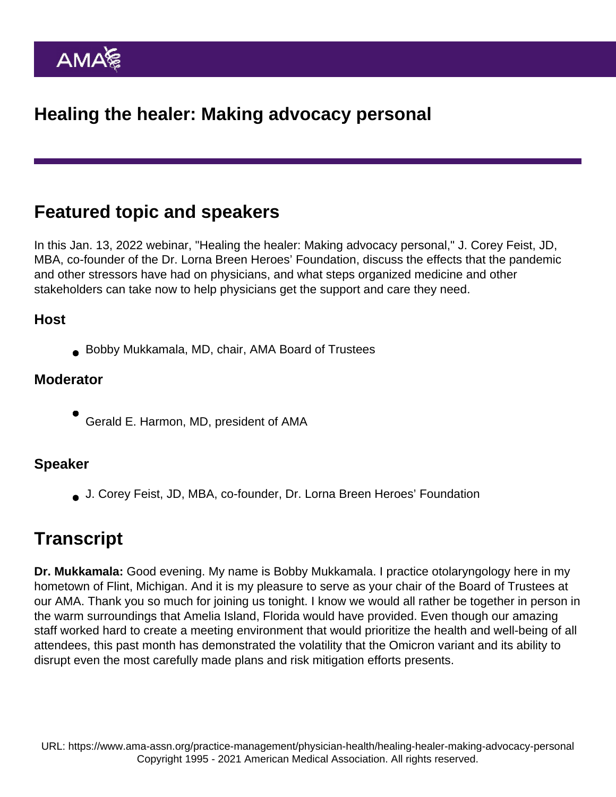# Featured topic and speakers

In this Jan. 13, 2022 webinar, "Healing the healer: Making advocacy personal," J. Corey Feist, JD, MBA, co-founder of the Dr. Lorna Breen Heroes' Foundation, discuss the effects that the pandemic and other stressors have had on physicians, and what steps organized medicine and other stakeholders can take now to help physicians get the support and care they need.

### Host

Bobby Mukkamala, MD, chair, AMA Board of Trustees

#### **Moderator**

Gerald E. Harmon, MD, president of AMA

#### Speaker

J. Corey Feist, JD, MBA, co-founder, Dr. Lorna Breen Heroes' Foundation

## **Transcript**

Dr. Mukkamala: Good evening. My name is Bobby Mukkamala. I practice otolaryngology here in my hometown of Flint, Michigan. And it is my pleasure to serve as your chair of the Board of Trustees at our AMA. Thank you so much for joining us tonight. I know we would all rather be together in person in the warm surroundings that Amelia Island, Florida would have provided. Even though our amazing staff worked hard to create a meeting environment that would prioritize the health and well-being of all attendees, this past month has demonstrated the volatility that the Omicron variant and its ability to disrupt even the most carefully made plans and risk mitigation efforts presents.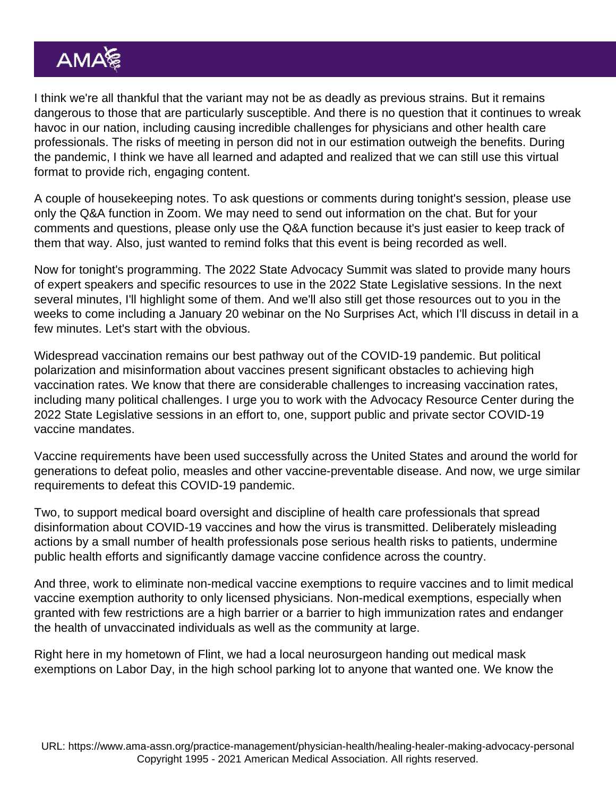I think we're all thankful that the variant may not be as deadly as previous strains. But it remains dangerous to those that are particularly susceptible. And there is no question that it continues to wreak havoc in our nation, including causing incredible challenges for physicians and other health care professionals. The risks of meeting in person did not in our estimation outweigh the benefits. During the pandemic, I think we have all learned and adapted and realized that we can still use this virtual format to provide rich, engaging content.

A couple of housekeeping notes. To ask questions or comments during tonight's session, please use only the Q&A function in Zoom. We may need to send out information on the chat. But for your comments and questions, please only use the Q&A function because it's just easier to keep track of them that way. Also, just wanted to remind folks that this event is being recorded as well.

Now for tonight's programming. The 2022 State Advocacy Summit was slated to provide many hours of expert speakers and specific resources to use in the 2022 State Legislative sessions. In the next several minutes, I'll highlight some of them. And we'll also still get those resources out to you in the weeks to come including a January 20 webinar on the No Surprises Act, which I'll discuss in detail in a few minutes. Let's start with the obvious.

Widespread vaccination remains our best pathway out of the COVID-19 pandemic. But political polarization and misinformation about vaccines present significant obstacles to achieving high vaccination rates. We know that there are considerable challenges to increasing vaccination rates, including many political challenges. I urge you to work with the Advocacy Resource Center during the 2022 State Legislative sessions in an effort to, one, support public and private sector COVID-19 vaccine mandates.

Vaccine requirements have been used successfully across the United States and around the world for generations to defeat polio, measles and other vaccine-preventable disease. And now, we urge similar requirements to defeat this COVID-19 pandemic.

Two, to support medical board oversight and discipline of health care professionals that spread disinformation about COVID-19 vaccines and how the virus is transmitted. Deliberately misleading actions by a small number of health professionals pose serious health risks to patients, undermine public health efforts and significantly damage vaccine confidence across the country.

And three, work to eliminate non-medical vaccine exemptions to require vaccines and to limit medical vaccine exemption authority to only licensed physicians. Non-medical exemptions, especially when granted with few restrictions are a high barrier or a barrier to high immunization rates and endanger the health of unvaccinated individuals as well as the community at large.

Right here in my hometown of Flint, we had a local neurosurgeon handing out medical mask exemptions on Labor Day, in the high school parking lot to anyone that wanted one. We know the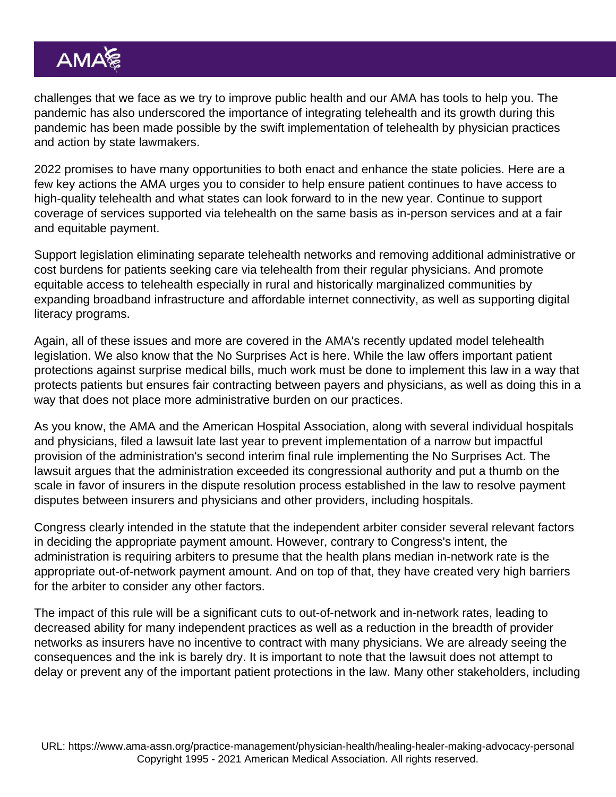challenges that we face as we try to improve public health and our AMA has tools to help you. The pandemic has also underscored the importance of integrating telehealth and its growth during this pandemic has been made possible by the swift implementation of telehealth by physician practices and action by state lawmakers.

2022 promises to have many opportunities to both enact and enhance the state policies. Here are a few key actions the AMA urges you to consider to help ensure patient continues to have access to high-quality telehealth and what states can look forward to in the new year. Continue to support coverage of services supported via telehealth on the same basis as in-person services and at a fair and equitable payment.

Support legislation eliminating separate telehealth networks and removing additional administrative or cost burdens for patients seeking care via telehealth from their regular physicians. And promote equitable access to telehealth especially in rural and historically marginalized communities by expanding broadband infrastructure and affordable internet connectivity, as well as supporting digital literacy programs.

Again, all of these issues and more are covered in the AMA's recently updated model telehealth legislation. We also know that the No Surprises Act is here. While the law offers important patient protections against surprise medical bills, much work must be done to implement this law in a way that protects patients but ensures fair contracting between payers and physicians, as well as doing this in a way that does not place more administrative burden on our practices.

As you know, the AMA and the American Hospital Association, along with several individual hospitals and physicians, filed a lawsuit late last year to prevent implementation of a narrow but impactful provision of the administration's second interim final rule implementing the No Surprises Act. The lawsuit argues that the administration exceeded its congressional authority and put a thumb on the scale in favor of insurers in the dispute resolution process established in the law to resolve payment disputes between insurers and physicians and other providers, including hospitals.

Congress clearly intended in the statute that the independent arbiter consider several relevant factors in deciding the appropriate payment amount. However, contrary to Congress's intent, the administration is requiring arbiters to presume that the health plans median in-network rate is the appropriate out-of-network payment amount. And on top of that, they have created very high barriers for the arbiter to consider any other factors.

The impact of this rule will be a significant cuts to out-of-network and in-network rates, leading to decreased ability for many independent practices as well as a reduction in the breadth of provider networks as insurers have no incentive to contract with many physicians. We are already seeing the consequences and the ink is barely dry. It is important to note that the lawsuit does not attempt to delay or prevent any of the important patient protections in the law. Many other stakeholders, including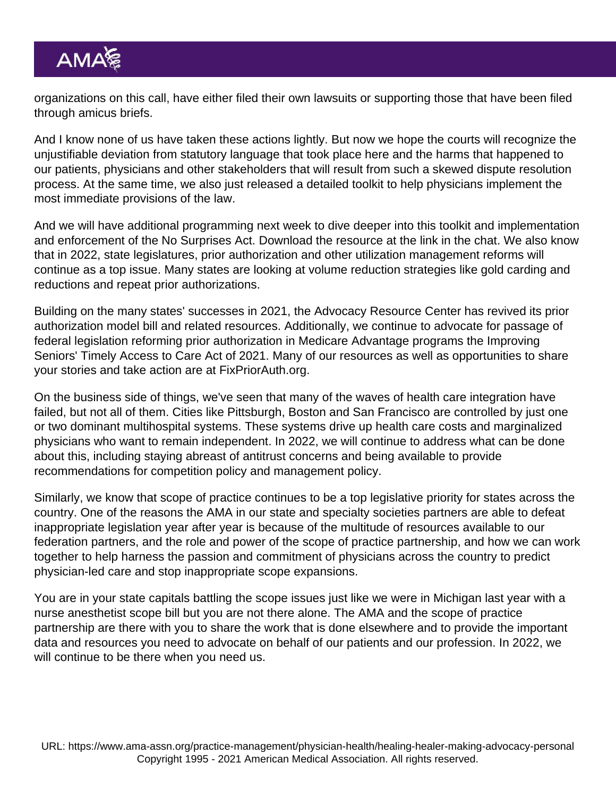organizations on this call, have either filed their own lawsuits or supporting those that have been filed through amicus briefs.

And I know none of us have taken these actions lightly. But now we hope the courts will recognize the unjustifiable deviation from statutory language that took place here and the harms that happened to our patients, physicians and other stakeholders that will result from such a skewed dispute resolution process. At the same time, we also just released a detailed toolkit to help physicians implement the most immediate provisions of the law.

And we will have additional programming next week to dive deeper into this toolkit and implementation and enforcement of the No Surprises Act. Download the resource at the link in the chat. We also know that in 2022, state legislatures, prior authorization and other utilization management reforms will continue as a top issue. Many states are looking at volume reduction strategies like gold carding and reductions and repeat prior authorizations.

Building on the many states' successes in 2021, the Advocacy Resource Center has revived its prior authorization model bill and related resources. Additionally, we continue to advocate for passage of federal legislation reforming prior authorization in Medicare Advantage programs the Improving Seniors' Timely Access to Care Act of 2021. Many of our resources as well as opportunities to share your stories and take action are at [FixPriorAuth.org.](http://fixpriorauth.org/)

On the business side of things, we've seen that many of the waves of health care integration have failed, but not all of them. Cities like Pittsburgh, Boston and San Francisco are controlled by just one or two dominant multihospital systems. These systems drive up health care costs and marginalized physicians who want to remain independent. In 2022, we will continue to address what can be done about this, including staying abreast of antitrust concerns and being available to provide recommendations for competition policy and management policy.

Similarly, we know that scope of practice continues to be a top legislative priority for states across the country. One of the reasons the AMA in our state and specialty societies partners are able to defeat inappropriate legislation year after year is because of the multitude of resources available to our federation partners, and the role and power of the scope of practice partnership, and how we can work together to help harness the passion and commitment of physicians across the country to predict physician-led care and stop inappropriate scope expansions.

You are in your state capitals battling the scope issues just like we were in Michigan last year with a nurse anesthetist scope bill but you are not there alone. The AMA and the scope of practice partnership are there with you to share the work that is done elsewhere and to provide the important data and resources you need to advocate on behalf of our patients and our profession. In 2022, we will continue to be there when you need us.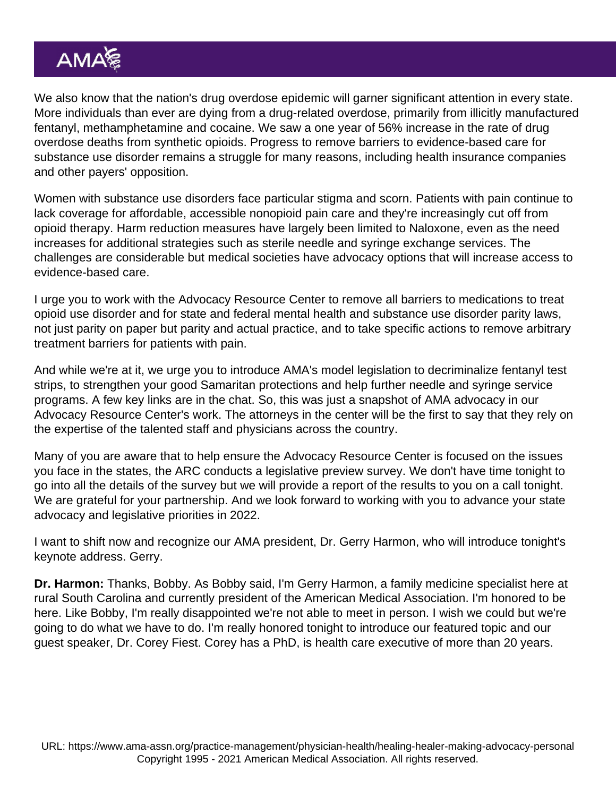We also know that the nation's drug overdose epidemic will garner significant attention in every state. More individuals than ever are dying from a drug-related overdose, primarily from illicitly manufactured fentanyl, methamphetamine and cocaine. We saw a one year of 56% increase in the rate of drug overdose deaths from synthetic opioids. Progress to remove barriers to evidence-based care for substance use disorder remains a struggle for many reasons, including health insurance companies and other payers' opposition.

Women with substance use disorders face particular stigma and scorn. Patients with pain continue to lack coverage for affordable, accessible nonopioid pain care and they're increasingly cut off from opioid therapy. Harm reduction measures have largely been limited to Naloxone, even as the need increases for additional strategies such as sterile needle and syringe exchange services. The challenges are considerable but medical societies have advocacy options that will increase access to evidence-based care.

I urge you to work with the Advocacy Resource Center to remove all barriers to medications to treat opioid use disorder and for state and federal mental health and substance use disorder parity laws, not just parity on paper but parity and actual practice, and to take specific actions to remove arbitrary treatment barriers for patients with pain.

And while we're at it, we urge you to introduce AMA's model legislation to decriminalize fentanyl test strips, to strengthen your good Samaritan protections and help further needle and syringe service programs. A few key links are in the chat. So, this was just a snapshot of AMA advocacy in our Advocacy Resource Center's work. The attorneys in the center will be the first to say that they rely on the expertise of the talented staff and physicians across the country.

Many of you are aware that to help ensure the Advocacy Resource Center is focused on the issues you face in the states, the ARC conducts a legislative preview survey. We don't have time tonight to go into all the details of the survey but we will provide a report of the results to you on a call tonight. We are grateful for your partnership. And we look forward to working with you to advance your state advocacy and legislative priorities in 2022.

I want to shift now and recognize our AMA president, Dr. Gerry Harmon, who will introduce tonight's keynote address. Gerry.

Dr. Harmon: Thanks, Bobby. As Bobby said, I'm Gerry Harmon, a family medicine specialist here at rural South Carolina and currently president of the American Medical Association. I'm honored to be here. Like Bobby, I'm really disappointed we're not able to meet in person. I wish we could but we're going to do what we have to do. I'm really honored tonight to introduce our featured topic and our guest speaker, Dr. Corey Fiest. Corey has a PhD, is health care executive of more than 20 years.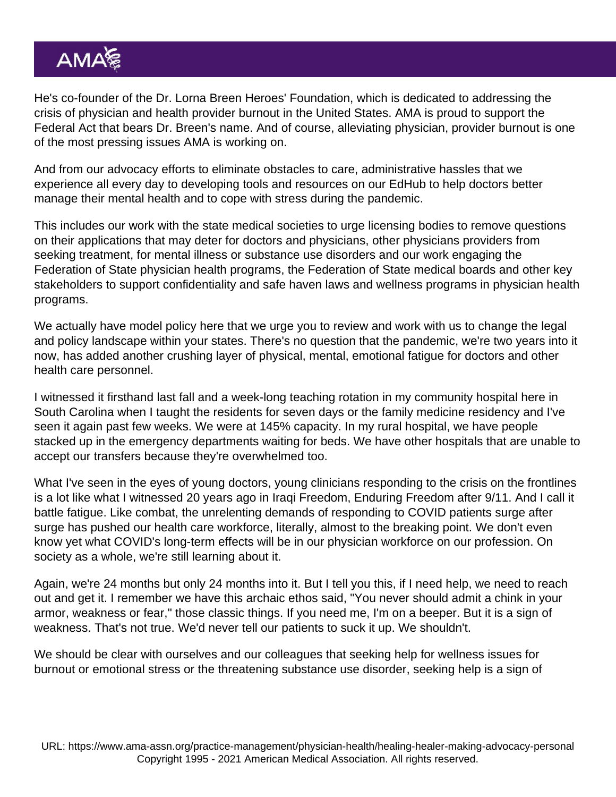He's co-founder of the Dr. Lorna Breen Heroes' Foundation, which is dedicated to addressing the crisis of physician and health provider burnout in the United States. AMA is proud to support the Federal Act that bears Dr. Breen's name. And of course, alleviating physician, provider burnout is one of the most pressing issues AMA is working on.

And from our advocacy efforts to eliminate obstacles to care, administrative hassles that we experience all every day to developing tools and resources on our EdHub to help doctors better manage their mental health and to cope with stress during the pandemic.

This includes our work with the state medical societies to urge licensing bodies to remove questions on their applications that may deter for doctors and physicians, other physicians providers from seeking treatment, for mental illness or substance use disorders and our work engaging the Federation of State physician health programs, the Federation of State medical boards and other key stakeholders to support confidentiality and safe haven laws and wellness programs in physician health programs.

We actually have model policy here that we urge you to review and work with us to change the legal and policy landscape within your states. There's no question that the pandemic, we're two years into it now, has added another crushing layer of physical, mental, emotional fatigue for doctors and other health care personnel.

I witnessed it firsthand last fall and a week-long teaching rotation in my community hospital here in South Carolina when I taught the residents for seven days or the family medicine residency and I've seen it again past few weeks. We were at 145% capacity. In my rural hospital, we have people stacked up in the emergency departments waiting for beds. We have other hospitals that are unable to accept our transfers because they're overwhelmed too.

What I've seen in the eyes of young doctors, young clinicians responding to the crisis on the frontlines is a lot like what I witnessed 20 years ago in Iraqi Freedom, Enduring Freedom after 9/11. And I call it battle fatigue. Like combat, the unrelenting demands of responding to COVID patients surge after surge has pushed our health care workforce, literally, almost to the breaking point. We don't even know yet what COVID's long-term effects will be in our physician workforce on our profession. On society as a whole, we're still learning about it.

Again, we're 24 months but only 24 months into it. But I tell you this, if I need help, we need to reach out and get it. I remember we have this archaic ethos said, "You never should admit a chink in your armor, weakness or fear," those classic things. If you need me, I'm on a beeper. But it is a sign of weakness. That's not true. We'd never tell our patients to suck it up. We shouldn't.

We should be clear with ourselves and our colleagues that seeking help for wellness issues for burnout or emotional stress or the threatening substance use disorder, seeking help is a sign of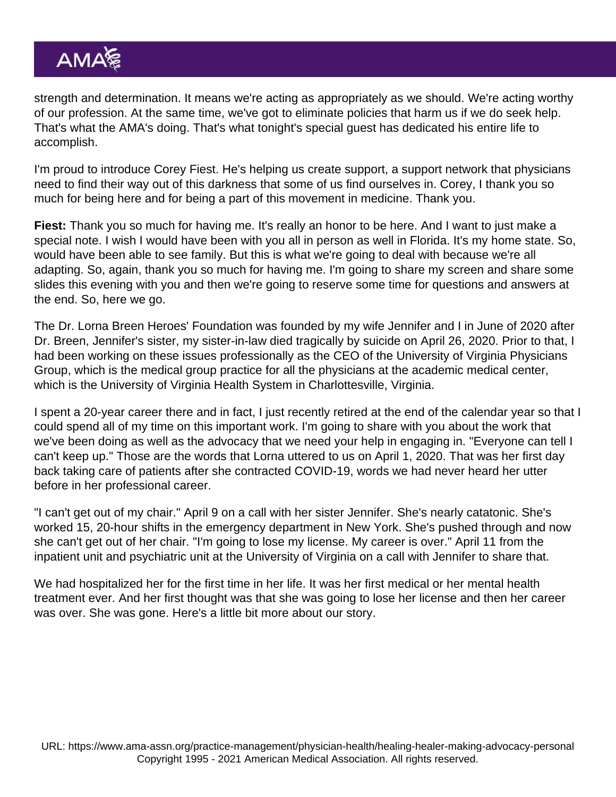strength and determination. It means we're acting as appropriately as we should. We're acting worthy of our profession. At the same time, we've got to eliminate policies that harm us if we do seek help. That's what the AMA's doing. That's what tonight's special guest has dedicated his entire life to accomplish.

I'm proud to introduce Corey Fiest. He's helping us create support, a support network that physicians need to find their way out of this darkness that some of us find ourselves in. Corey, I thank you so much for being here and for being a part of this movement in medicine. Thank you.

Fiest: Thank you so much for having me. It's really an honor to be here. And I want to just make a special note. I wish I would have been with you all in person as well in Florida. It's my home state. So, would have been able to see family. But this is what we're going to deal with because we're all adapting. So, again, thank you so much for having me. I'm going to share my screen and share some slides this evening with you and then we're going to reserve some time for questions and answers at the end. So, here we go.

The Dr. Lorna Breen Heroes' Foundation was founded by my wife Jennifer and I in June of 2020 after Dr. Breen, Jennifer's sister, my sister-in-law died tragically by suicide on April 26, 2020. Prior to that, I had been working on these issues professionally as the CEO of the University of Virginia Physicians Group, which is the medical group practice for all the physicians at the academic medical center, which is the University of Virginia Health System in Charlottesville, Virginia.

I spent a 20-year career there and in fact, I just recently retired at the end of the calendar year so that I could spend all of my time on this important work. I'm going to share with you about the work that we've been doing as well as the advocacy that we need your help in engaging in. "Everyone can tell I can't keep up." Those are the words that Lorna uttered to us on April 1, 2020. That was her first day back taking care of patients after she contracted COVID-19, words we had never heard her utter before in her professional career.

"I can't get out of my chair." April 9 on a call with her sister Jennifer. She's nearly catatonic. She's worked 15, 20-hour shifts in the emergency department in New York. She's pushed through and now she can't get out of her chair. "I'm going to lose my license. My career is over." April 11 from the inpatient unit and psychiatric unit at the University of Virginia on a call with Jennifer to share that.

We had hospitalized her for the first time in her life. It was her first medical or her mental health treatment ever. And her first thought was that she was going to lose her license and then her career was over. She was gone. Here's a little bit more about our story.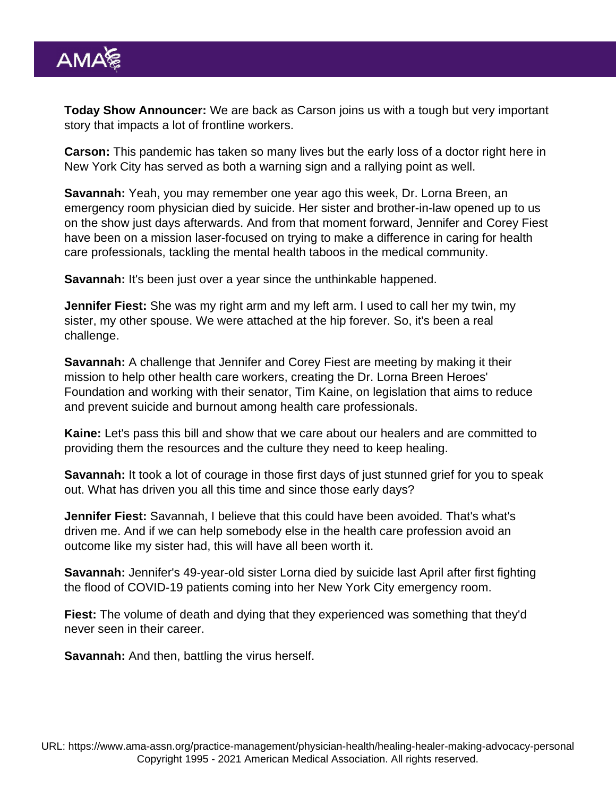Today Show Announcer: We are back as Carson joins us with a tough but very important story that impacts a lot of frontline workers.

Carson: This pandemic has taken so many lives but the early loss of a doctor right here in New York City has served as both a warning sign and a rallying point as well.

Savannah: Yeah, you may remember one year ago this week, Dr. Lorna Breen, an emergency room physician died by suicide. Her sister and brother-in-law opened up to us on the show just days afterwards. And from that moment forward, Jennifer and Corey Fiest have been on a mission laser-focused on trying to make a difference in caring for health care professionals, tackling the mental health taboos in the medical community.

Savannah: It's been just over a year since the unthinkable happened.

Jennifer Fiest: She was my right arm and my left arm. I used to call her my twin, my sister, my other spouse. We were attached at the hip forever. So, it's been a real challenge.

Savannah: A challenge that Jennifer and Corey Fiest are meeting by making it their mission to help other health care workers, creating the Dr. Lorna Breen Heroes' Foundation and working with their senator, Tim Kaine, on legislation that aims to reduce and prevent suicide and burnout among health care professionals.

Kaine: Let's pass this bill and show that we care about our healers and are committed to providing them the resources and the culture they need to keep healing.

Savannah: It took a lot of courage in those first days of just stunned grief for you to speak out. What has driven you all this time and since those early days?

Jennifer Fiest: Savannah, I believe that this could have been avoided. That's what's driven me. And if we can help somebody else in the health care profession avoid an outcome like my sister had, this will have all been worth it.

Savannah: Jennifer's 49-year-old sister Lorna died by suicide last April after first fighting the flood of COVID-19 patients coming into her New York City emergency room.

Fiest: The volume of death and dying that they experienced was something that they'd never seen in their career.

Savannah: And then, battling the virus herself.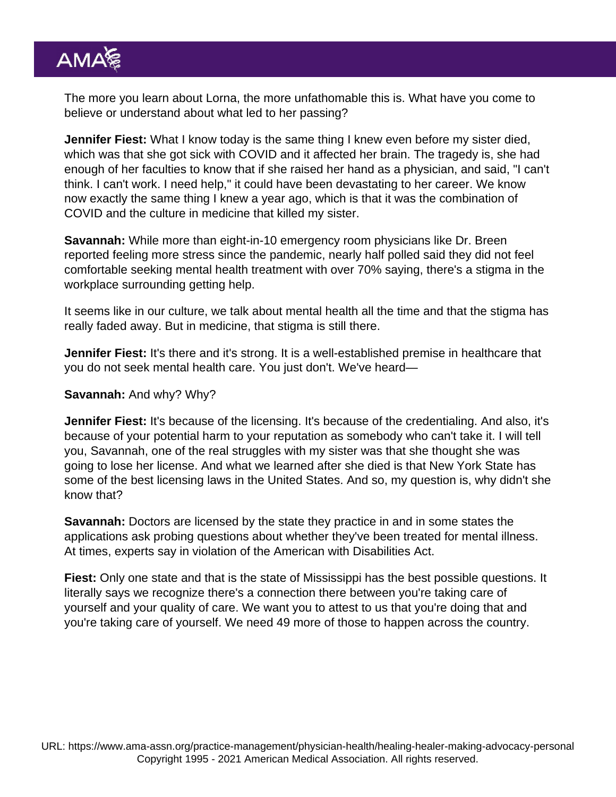The more you learn about Lorna, the more unfathomable this is. What have you come to believe or understand about what led to her passing?

Jennifer Fiest: What I know today is the same thing I knew even before my sister died, which was that she got sick with COVID and it affected her brain. The tragedy is, she had enough of her faculties to know that if she raised her hand as a physician, and said, "I can't think. I can't work. I need help," it could have been devastating to her career. We know now exactly the same thing I knew a year ago, which is that it was the combination of COVID and the culture in medicine that killed my sister.

Savannah: While more than eight-in-10 emergency room physicians like Dr. Breen reported feeling more stress since the pandemic, nearly half polled said they did not feel comfortable seeking mental health treatment with over 70% saying, there's a stigma in the workplace surrounding getting help.

It seems like in our culture, we talk about mental health all the time and that the stigma has really faded away. But in medicine, that stigma is still there.

Jennifer Fiest: It's there and it's strong. It is a well-established premise in healthcare that you do not seek mental health care. You just don't. We've heard—

Savannah: And why? Why?

Jennifer Fiest: It's because of the licensing. It's because of the credentialing. And also, it's because of your potential harm to your reputation as somebody who can't take it. I will tell you, Savannah, one of the real struggles with my sister was that she thought she was going to lose her license. And what we learned after she died is that New York State has some of the best licensing laws in the United States. And so, my question is, why didn't she know that?

Savannah: Doctors are licensed by the state they practice in and in some states the applications ask probing questions about whether they've been treated for mental illness. At times, experts say in violation of the American with Disabilities Act.

Fiest: Only one state and that is the state of Mississippi has the best possible questions. It literally says we recognize there's a connection there between you're taking care of yourself and your quality of care. We want you to attest to us that you're doing that and you're taking care of yourself. We need 49 more of those to happen across the country.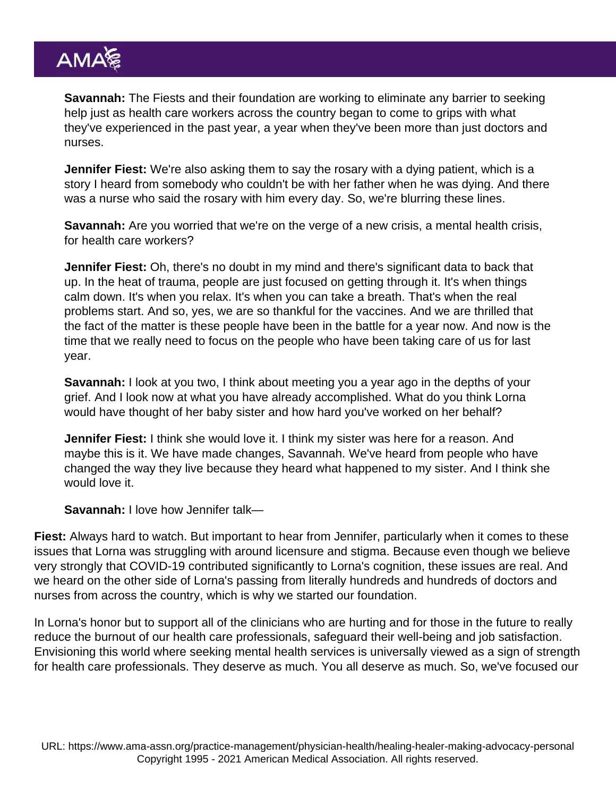Savannah: The Fiests and their foundation are working to eliminate any barrier to seeking help just as health care workers across the country began to come to grips with what they've experienced in the past year, a year when they've been more than just doctors and nurses.

Jennifer Fiest: We're also asking them to say the rosary with a dying patient, which is a story I heard from somebody who couldn't be with her father when he was dying. And there was a nurse who said the rosary with him every day. So, we're blurring these lines.

Savannah: Are you worried that we're on the verge of a new crisis, a mental health crisis, for health care workers?

Jennifer Fiest: Oh, there's no doubt in my mind and there's significant data to back that up. In the heat of trauma, people are just focused on getting through it. It's when things calm down. It's when you relax. It's when you can take a breath. That's when the real problems start. And so, yes, we are so thankful for the vaccines. And we are thrilled that the fact of the matter is these people have been in the battle for a year now. And now is the time that we really need to focus on the people who have been taking care of us for last year.

Savannah: I look at you two, I think about meeting you a year ago in the depths of your grief. And I look now at what you have already accomplished. What do you think Lorna would have thought of her baby sister and how hard you've worked on her behalf?

Jennifer Fiest: I think she would love it. I think my sister was here for a reason. And maybe this is it. We have made changes, Savannah. We've heard from people who have changed the way they live because they heard what happened to my sister. And I think she would love it.

Savannah: I love how Jennifer talk—

Fiest: Always hard to watch. But important to hear from Jennifer, particularly when it comes to these issues that Lorna was struggling with around licensure and stigma. Because even though we believe very strongly that COVID-19 contributed significantly to Lorna's cognition, these issues are real. And we heard on the other side of Lorna's passing from literally hundreds and hundreds of doctors and nurses from across the country, which is why we started our foundation.

In Lorna's honor but to support all of the clinicians who are hurting and for those in the future to really reduce the burnout of our health care professionals, safeguard their well-being and job satisfaction. Envisioning this world where seeking mental health services is universally viewed as a sign of strength for health care professionals. They deserve as much. You all deserve as much. So, we've focused our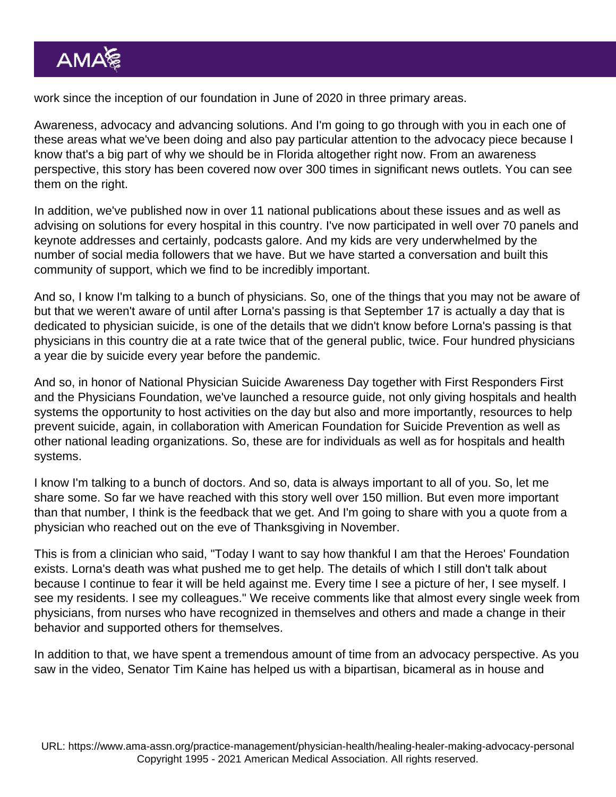work since the inception of our foundation in June of 2020 in three primary areas.

Awareness, advocacy and advancing solutions. And I'm going to go through with you in each one of these areas what we've been doing and also pay particular attention to the advocacy piece because I know that's a big part of why we should be in Florida altogether right now. From an awareness perspective, this story has been covered now over 300 times in significant news outlets. You can see them on the right.

In addition, we've published now in over 11 national publications about these issues and as well as advising on solutions for every hospital in this country. I've now participated in well over 70 panels and keynote addresses and certainly, podcasts galore. And my kids are very underwhelmed by the number of social media followers that we have. But we have started a conversation and built this community of support, which we find to be incredibly important.

And so, I know I'm talking to a bunch of physicians. So, one of the things that you may not be aware of but that we weren't aware of until after Lorna's passing is that September 17 is actually a day that is dedicated to physician suicide, is one of the details that we didn't know before Lorna's passing is that physicians in this country die at a rate twice that of the general public, twice. Four hundred physicians a year die by suicide every year before the pandemic.

And so, in honor of National Physician Suicide Awareness Day together with First Responders First and the Physicians Foundation, we've launched a resource guide, not only giving hospitals and health systems the opportunity to host activities on the day but also and more importantly, resources to help prevent suicide, again, in collaboration with American Foundation for Suicide Prevention as well as other national leading organizations. So, these are for individuals as well as for hospitals and health systems.

I know I'm talking to a bunch of doctors. And so, data is always important to all of you. So, let me share some. So far we have reached with this story well over 150 million. But even more important than that number, I think is the feedback that we get. And I'm going to share with you a quote from a physician who reached out on the eve of Thanksgiving in November.

This is from a clinician who said, "Today I want to say how thankful I am that the Heroes' Foundation exists. Lorna's death was what pushed me to get help. The details of which I still don't talk about because I continue to fear it will be held against me. Every time I see a picture of her, I see myself. I see my residents. I see my colleagues." We receive comments like that almost every single week from physicians, from nurses who have recognized in themselves and others and made a change in their behavior and supported others for themselves.

In addition to that, we have spent a tremendous amount of time from an advocacy perspective. As you saw in the video, Senator Tim Kaine has helped us with a bipartisan, bicameral as in house and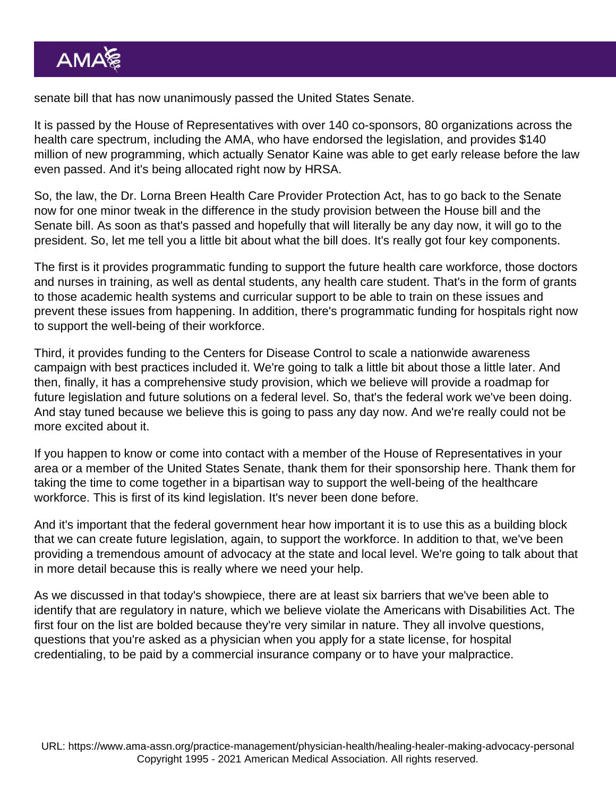senate bill that has now unanimously passed the United States Senate.

It is passed by the House of Representatives with over 140 co-sponsors, 80 organizations across the health care spectrum, including the AMA, who have endorsed the legislation, and provides \$140 million of new programming, which actually Senator Kaine was able to get early release before the law even passed. And it's being allocated right now by HRSA.

So, the law, the Dr. Lorna Breen Health Care Provider Protection Act, has to go back to the Senate now for one minor tweak in the difference in the study provision between the House bill and the Senate bill. As soon as that's passed and hopefully that will literally be any day now, it will go to the president. So, let me tell you a little bit about what the bill does. It's really got four key components.

The first is it provides programmatic funding to support the future health care workforce, those doctors and nurses in training, as well as dental students, any health care student. That's in the form of grants to those academic health systems and curricular support to be able to train on these issues and prevent these issues from happening. In addition, there's programmatic funding for hospitals right now to support the well-being of their workforce.

Third, it provides funding to the Centers for Disease Control to scale a nationwide awareness campaign with best practices included it. We're going to talk a little bit about those a little later. And then, finally, it has a comprehensive study provision, which we believe will provide a roadmap for future legislation and future solutions on a federal level. So, that's the federal work we've been doing. And stay tuned because we believe this is going to pass any day now. And we're really could not be more excited about it.

If you happen to know or come into contact with a member of the House of Representatives in your area or a member of the United States Senate, thank them for their sponsorship here. Thank them for taking the time to come together in a bipartisan way to support the well-being of the healthcare workforce. This is first of its kind legislation. It's never been done before.

And it's important that the federal government hear how important it is to use this as a building block that we can create future legislation, again, to support the workforce. In addition to that, we've been providing a tremendous amount of advocacy at the state and local level. We're going to talk about that in more detail because this is really where we need your help.

As we discussed in that today's showpiece, there are at least six barriers that we've been able to identify that are regulatory in nature, which we believe violate the Americans with Disabilities Act. The first four on the list are bolded because they're very similar in nature. They all involve questions, questions that you're asked as a physician when you apply for a state license, for hospital credentialing, to be paid by a commercial insurance company or to have your malpractice.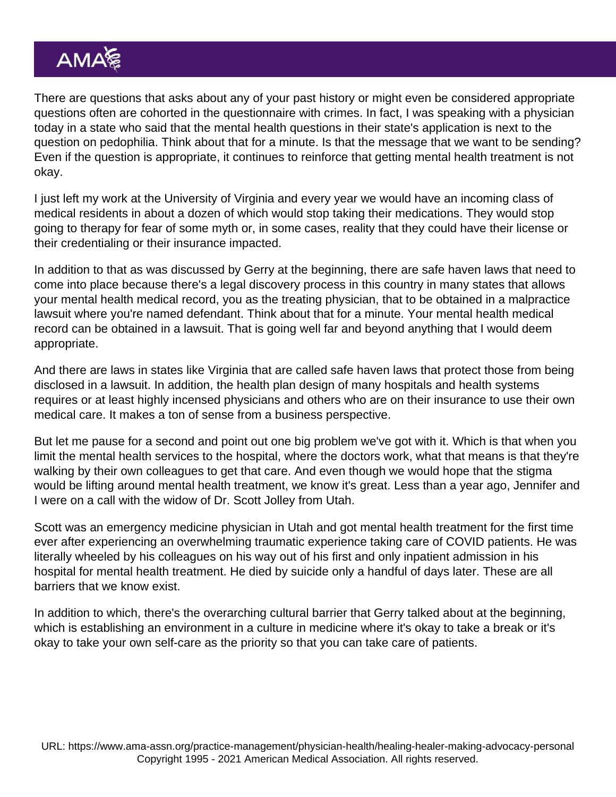There are questions that asks about any of your past history or might even be considered appropriate questions often are cohorted in the questionnaire with crimes. In fact, I was speaking with a physician today in a state who said that the mental health questions in their state's application is next to the question on pedophilia. Think about that for a minute. Is that the message that we want to be sending? Even if the question is appropriate, it continues to reinforce that getting mental health treatment is not okay.

I just left my work at the University of Virginia and every year we would have an incoming class of medical residents in about a dozen of which would stop taking their medications. They would stop going to therapy for fear of some myth or, in some cases, reality that they could have their license or their credentialing or their insurance impacted.

In addition to that as was discussed by Gerry at the beginning, there are safe haven laws that need to come into place because there's a legal discovery process in this country in many states that allows your mental health medical record, you as the treating physician, that to be obtained in a malpractice lawsuit where you're named defendant. Think about that for a minute. Your mental health medical record can be obtained in a lawsuit. That is going well far and beyond anything that I would deem appropriate.

And there are laws in states like Virginia that are called safe haven laws that protect those from being disclosed in a lawsuit. In addition, the health plan design of many hospitals and health systems requires or at least highly incensed physicians and others who are on their insurance to use their own medical care. It makes a ton of sense from a business perspective.

But let me pause for a second and point out one big problem we've got with it. Which is that when you limit the mental health services to the hospital, where the doctors work, what that means is that they're walking by their own colleagues to get that care. And even though we would hope that the stigma would be lifting around mental health treatment, we know it's great. Less than a year ago, Jennifer and I were on a call with the widow of Dr. Scott Jolley from Utah.

Scott was an emergency medicine physician in Utah and got mental health treatment for the first time ever after experiencing an overwhelming traumatic experience taking care of COVID patients. He was literally wheeled by his colleagues on his way out of his first and only inpatient admission in his hospital for mental health treatment. He died by suicide only a handful of days later. These are all barriers that we know exist.

In addition to which, there's the overarching cultural barrier that Gerry talked about at the beginning, which is establishing an environment in a culture in medicine where it's okay to take a break or it's okay to take your own self-care as the priority so that you can take care of patients.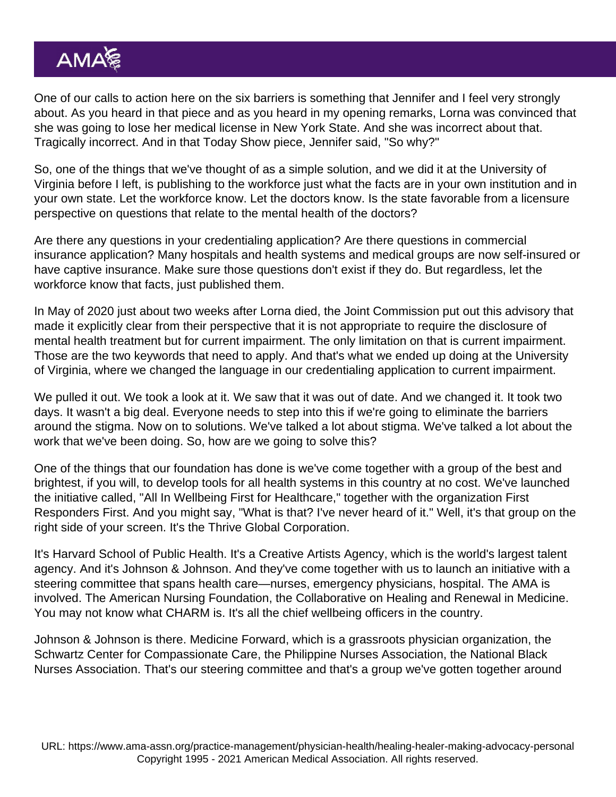One of our calls to action here on the six barriers is something that Jennifer and I feel very strongly about. As you heard in that piece and as you heard in my opening remarks, Lorna was convinced that she was going to lose her medical license in New York State. And she was incorrect about that. Tragically incorrect. And in that Today Show piece, Jennifer said, "So why?"

So, one of the things that we've thought of as a simple solution, and we did it at the University of Virginia before I left, is publishing to the workforce just what the facts are in your own institution and in your own state. Let the workforce know. Let the doctors know. Is the state favorable from a licensure perspective on questions that relate to the mental health of the doctors?

Are there any questions in your credentialing application? Are there questions in commercial insurance application? Many hospitals and health systems and medical groups are now self-insured or have captive insurance. Make sure those questions don't exist if they do. But regardless, let the workforce know that facts, just published them.

In May of 2020 just about two weeks after Lorna died, the Joint Commission put out this advisory that made it explicitly clear from their perspective that it is not appropriate to require the disclosure of mental health treatment but for current impairment. The only limitation on that is current impairment. Those are the two keywords that need to apply. And that's what we ended up doing at the University of Virginia, where we changed the language in our credentialing application to current impairment.

We pulled it out. We took a look at it. We saw that it was out of date. And we changed it. It took two days. It wasn't a big deal. Everyone needs to step into this if we're going to eliminate the barriers around the stigma. Now on to solutions. We've talked a lot about stigma. We've talked a lot about the work that we've been doing. So, how are we going to solve this?

One of the things that our foundation has done is we've come together with a group of the best and brightest, if you will, to develop tools for all health systems in this country at no cost. We've launched the initiative called, "All In Wellbeing First for Healthcare," together with the organization First Responders First. And you might say, "What is that? I've never heard of it." Well, it's that group on the right side of your screen. It's the Thrive Global Corporation.

It's Harvard School of Public Health. It's a Creative Artists Agency, which is the world's largest talent agency. And it's Johnson & Johnson. And they've come together with us to launch an initiative with a steering committee that spans health care—nurses, emergency physicians, hospital. The AMA is involved. The American Nursing Foundation, the Collaborative on Healing and Renewal in Medicine. You may not know what CHARM is. It's all the chief wellbeing officers in the country.

Johnson & Johnson is there. Medicine Forward, which is a grassroots physician organization, the Schwartz Center for Compassionate Care, the Philippine Nurses Association, the National Black Nurses Association. That's our steering committee and that's a group we've gotten together around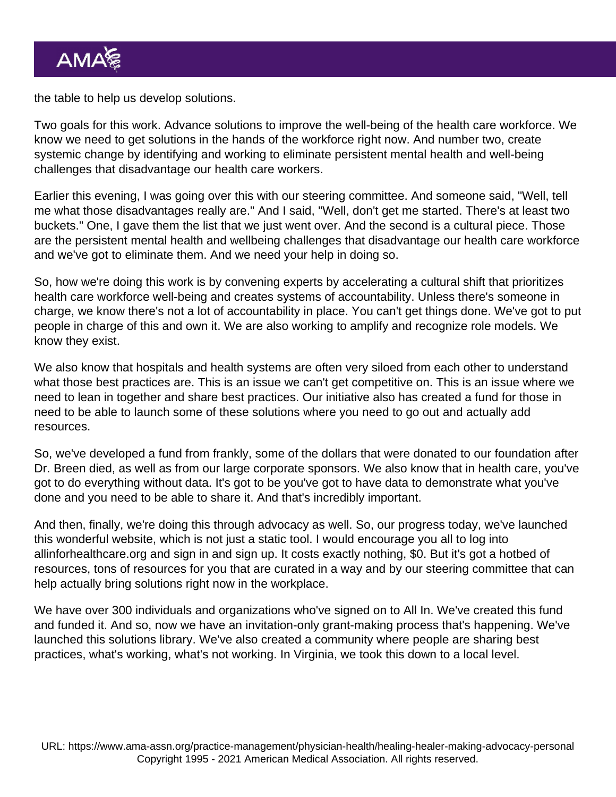the table to help us develop solutions.

Two goals for this work. Advance solutions to improve the well-being of the health care workforce. We know we need to get solutions in the hands of the workforce right now. And number two, create systemic change by identifying and working to eliminate persistent mental health and well-being challenges that disadvantage our health care workers.

Earlier this evening, I was going over this with our steering committee. And someone said, "Well, tell me what those disadvantages really are." And I said, "Well, don't get me started. There's at least two buckets." One, I gave them the list that we just went over. And the second is a cultural piece. Those are the persistent mental health and wellbeing challenges that disadvantage our health care workforce and we've got to eliminate them. And we need your help in doing so.

So, how we're doing this work is by convening experts by accelerating a cultural shift that prioritizes health care workforce well-being and creates systems of accountability. Unless there's someone in charge, we know there's not a lot of accountability in place. You can't get things done. We've got to put people in charge of this and own it. We are also working to amplify and recognize role models. We know they exist.

We also know that hospitals and health systems are often very siloed from each other to understand what those best practices are. This is an issue we can't get competitive on. This is an issue where we need to lean in together and share best practices. Our initiative also has created a fund for those in need to be able to launch some of these solutions where you need to go out and actually add resources.

So, we've developed a fund from frankly, some of the dollars that were donated to our foundation after Dr. Breen died, as well as from our large corporate sponsors. We also know that in health care, you've got to do everything without data. It's got to be you've got to have data to demonstrate what you've done and you need to be able to share it. And that's incredibly important.

And then, finally, we're doing this through advocacy as well. So, our progress today, we've launched this wonderful website, which is not just a static tool. I would encourage you all to log into [allinforhealthcare.org](http://allinforhealthcare.org/) and sign in and sign up. It costs exactly nothing, \$0. But it's got a hotbed of resources, tons of resources for you that are curated in a way and by our steering committee that can help actually bring solutions right now in the workplace.

We have over 300 individuals and organizations who've signed on to All In. We've created this fund and funded it. And so, now we have an invitation-only grant-making process that's happening. We've launched this solutions library. We've also created a community where people are sharing best practices, what's working, what's not working. In Virginia, we took this down to a local level.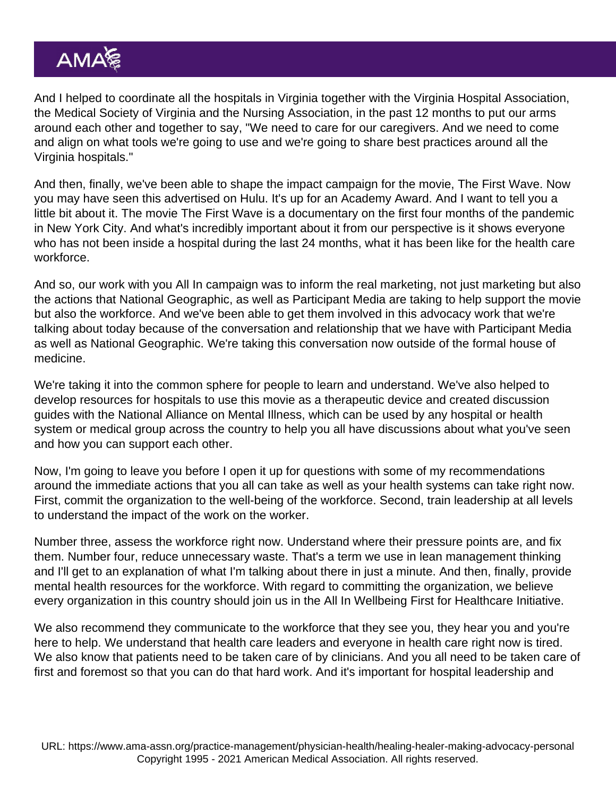And I helped to coordinate all the hospitals in Virginia together with the Virginia Hospital Association, the Medical Society of Virginia and the Nursing Association, in the past 12 months to put our arms around each other and together to say, "We need to care for our caregivers. And we need to come and align on what tools we're going to use and we're going to share best practices around all the Virginia hospitals."

And then, finally, we've been able to shape the impact campaign for the movie, The First Wave. Now you may have seen this advertised on Hulu. It's up for an Academy Award. And I want to tell you a little bit about it. The movie The First Wave is a documentary on the first four months of the pandemic in New York City. And what's incredibly important about it from our perspective is it shows everyone who has not been inside a hospital during the last 24 months, what it has been like for the health care workforce.

And so, our work with you All In campaign was to inform the real marketing, not just marketing but also the actions that National Geographic, as well as Participant Media are taking to help support the movie but also the workforce. And we've been able to get them involved in this advocacy work that we're talking about today because of the conversation and relationship that we have with Participant Media as well as National Geographic. We're taking this conversation now outside of the formal house of medicine.

We're taking it into the common sphere for people to learn and understand. We've also helped to develop resources for hospitals to use this movie as a therapeutic device and created discussion guides with the National Alliance on Mental Illness, which can be used by any hospital or health system or medical group across the country to help you all have discussions about what you've seen and how you can support each other.

Now, I'm going to leave you before I open it up for questions with some of my recommendations around the immediate actions that you all can take as well as your health systems can take right now. First, commit the organization to the well-being of the workforce. Second, train leadership at all levels to understand the impact of the work on the worker.

Number three, assess the workforce right now. Understand where their pressure points are, and fix them. Number four, reduce unnecessary waste. That's a term we use in lean management thinking and I'll get to an explanation of what I'm talking about there in just a minute. And then, finally, provide mental health resources for the workforce. With regard to committing the organization, we believe every organization in this country should join us in the All In Wellbeing First for Healthcare Initiative.

We also recommend they communicate to the workforce that they see you, they hear you and you're here to help. We understand that health care leaders and everyone in health care right now is tired. We also know that patients need to be taken care of by clinicians. And you all need to be taken care of first and foremost so that you can do that hard work. And it's important for hospital leadership and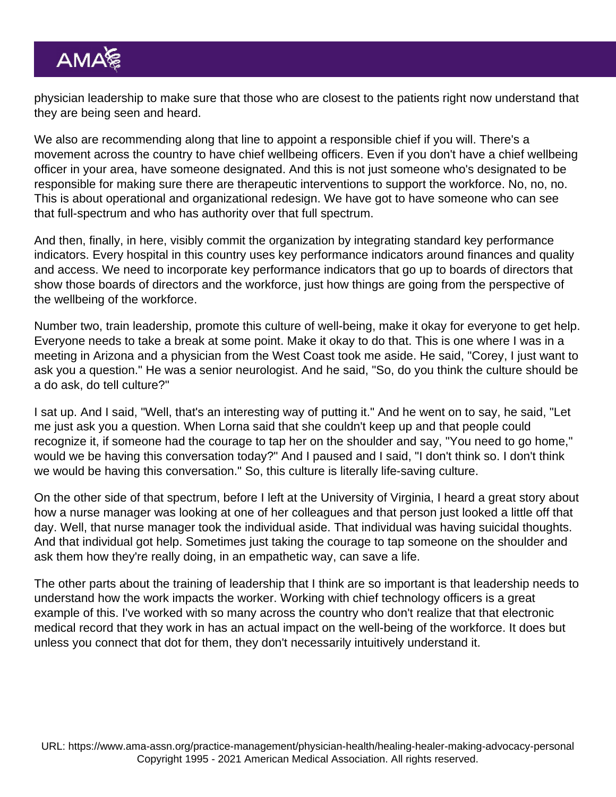physician leadership to make sure that those who are closest to the patients right now understand that they are being seen and heard.

We also are recommending along that line to appoint a responsible chief if you will. There's a movement across the country to have chief wellbeing officers. Even if you don't have a chief wellbeing officer in your area, have someone designated. And this is not just someone who's designated to be responsible for making sure there are therapeutic interventions to support the workforce. No, no, no. This is about operational and organizational redesign. We have got to have someone who can see that full-spectrum and who has authority over that full spectrum.

And then, finally, in here, visibly commit the organization by integrating standard key performance indicators. Every hospital in this country uses key performance indicators around finances and quality and access. We need to incorporate key performance indicators that go up to boards of directors that show those boards of directors and the workforce, just how things are going from the perspective of the wellbeing of the workforce.

Number two, train leadership, promote this culture of well-being, make it okay for everyone to get help. Everyone needs to take a break at some point. Make it okay to do that. This is one where I was in a meeting in Arizona and a physician from the West Coast took me aside. He said, "Corey, I just want to ask you a question." He was a senior neurologist. And he said, "So, do you think the culture should be a do ask, do tell culture?"

I sat up. And I said, "Well, that's an interesting way of putting it." And he went on to say, he said, "Let me just ask you a question. When Lorna said that she couldn't keep up and that people could recognize it, if someone had the courage to tap her on the shoulder and say, "You need to go home," would we be having this conversation today?" And I paused and I said, "I don't think so. I don't think we would be having this conversation." So, this culture is literally life-saving culture.

On the other side of that spectrum, before I left at the University of Virginia, I heard a great story about how a nurse manager was looking at one of her colleagues and that person just looked a little off that day. Well, that nurse manager took the individual aside. That individual was having suicidal thoughts. And that individual got help. Sometimes just taking the courage to tap someone on the shoulder and ask them how they're really doing, in an empathetic way, can save a life.

The other parts about the training of leadership that I think are so important is that leadership needs to understand how the work impacts the worker. Working with chief technology officers is a great example of this. I've worked with so many across the country who don't realize that that electronic medical record that they work in has an actual impact on the well-being of the workforce. It does but unless you connect that dot for them, they don't necessarily intuitively understand it.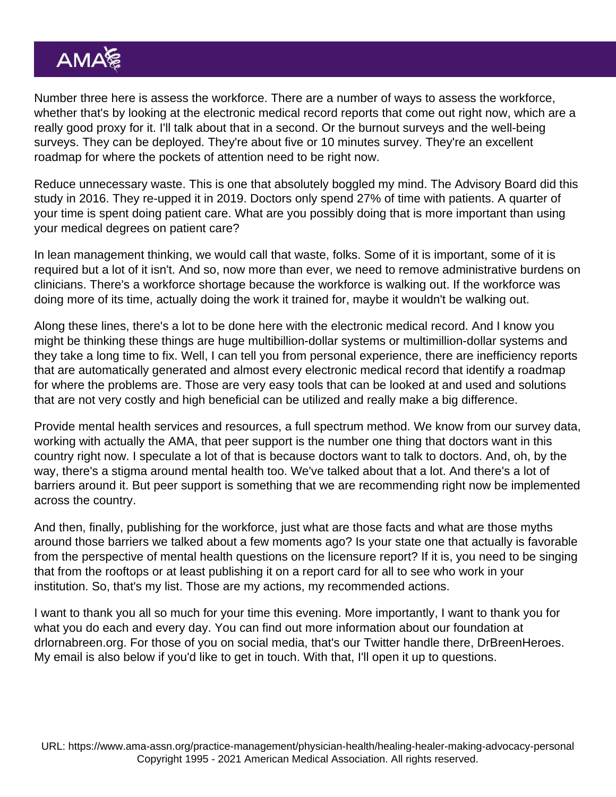Number three here is assess the workforce. There are a number of ways to assess the workforce, whether that's by looking at the electronic medical record reports that come out right now, which are a really good proxy for it. I'll talk about that in a second. Or the burnout surveys and the well-being surveys. They can be deployed. They're about five or 10 minutes survey. They're an excellent roadmap for where the pockets of attention need to be right now.

Reduce unnecessary waste. This is one that absolutely boggled my mind. The Advisory Board did this study in 2016. They re-upped it in 2019. Doctors only spend 27% of time with patients. A quarter of your time is spent doing patient care. What are you possibly doing that is more important than using your medical degrees on patient care?

In lean management thinking, we would call that waste, folks. Some of it is important, some of it is required but a lot of it isn't. And so, now more than ever, we need to remove administrative burdens on clinicians. There's a workforce shortage because the workforce is walking out. If the workforce was doing more of its time, actually doing the work it trained for, maybe it wouldn't be walking out.

Along these lines, there's a lot to be done here with the electronic medical record. And I know you might be thinking these things are huge multibillion-dollar systems or multimillion-dollar systems and they take a long time to fix. Well, I can tell you from personal experience, there are inefficiency reports that are automatically generated and almost every electronic medical record that identify a roadmap for where the problems are. Those are very easy tools that can be looked at and used and solutions that are not very costly and high beneficial can be utilized and really make a big difference.

Provide mental health services and resources, a full spectrum method. We know from our survey data, working with actually the AMA, that peer support is the number one thing that doctors want in this country right now. I speculate a lot of that is because doctors want to talk to doctors. And, oh, by the way, there's a stigma around mental health too. We've talked about that a lot. And there's a lot of barriers around it. But peer support is something that we are recommending right now be implemented across the country.

And then, finally, publishing for the workforce, just what are those facts and what are those myths around those barriers we talked about a few moments ago? Is your state one that actually is favorable from the perspective of mental health questions on the licensure report? If it is, you need to be singing that from the rooftops or at least publishing it on a report card for all to see who work in your institution. So, that's my list. Those are my actions, my recommended actions.

I want to thank you all so much for your time this evening. More importantly, I want to thank you for what you do each and every day. You can find out more information about our foundation at [drlornabreen.org.](http://drlornabreen.org/) For those of you on social media, that's our Twitter handle there, DrBreenHeroes. My email is also below if you'd like to get in touch. With that, I'll open it up to questions.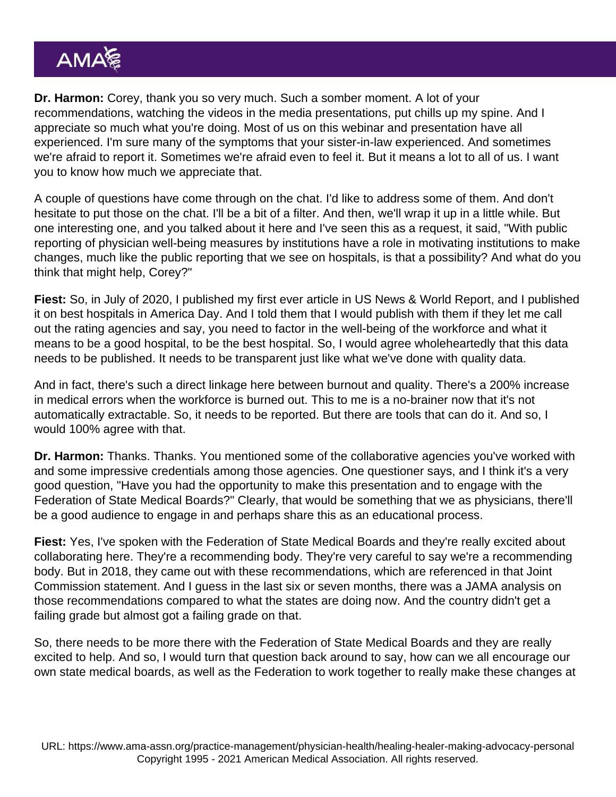Dr. Harmon: Corey, thank you so very much. Such a somber moment. A lot of your recommendations, watching the videos in the media presentations, put chills up my spine. And I appreciate so much what you're doing. Most of us on this webinar and presentation have all experienced. I'm sure many of the symptoms that your sister-in-law experienced. And sometimes we're afraid to report it. Sometimes we're afraid even to feel it. But it means a lot to all of us. I want you to know how much we appreciate that.

A couple of questions have come through on the chat. I'd like to address some of them. And don't hesitate to put those on the chat. I'll be a bit of a filter. And then, we'll wrap it up in a little while. But one interesting one, and you talked about it here and I've seen this as a request, it said, "With public reporting of physician well-being measures by institutions have a role in motivating institutions to make changes, much like the public reporting that we see on hospitals, is that a possibility? And what do you think that might help, Corey?"

Fiest: So, in July of 2020, I published my first ever article in US News & World Report, and I published it on best hospitals in America Day. And I told them that I would publish with them if they let me call out the rating agencies and say, you need to factor in the well-being of the workforce and what it means to be a good hospital, to be the best hospital. So, I would agree wholeheartedly that this data needs to be published. It needs to be transparent just like what we've done with quality data.

And in fact, there's such a direct linkage here between burnout and quality. There's a 200% increase in medical errors when the workforce is burned out. This to me is a no-brainer now that it's not automatically extractable. So, it needs to be reported. But there are tools that can do it. And so, I would 100% agree with that.

Dr. Harmon: Thanks. Thanks. You mentioned some of the collaborative agencies you've worked with and some impressive credentials among those agencies. One questioner says, and I think it's a very good question, "Have you had the opportunity to make this presentation and to engage with the Federation of State Medical Boards?" Clearly, that would be something that we as physicians, there'll be a good audience to engage in and perhaps share this as an educational process.

Fiest: Yes, I've spoken with the Federation of State Medical Boards and they're really excited about collaborating here. They're a recommending body. They're very careful to say we're a recommending body. But in 2018, they came out with these recommendations, which are referenced in that Joint Commission statement. And I guess in the last six or seven months, there was a JAMA analysis on those recommendations compared to what the states are doing now. And the country didn't get a failing grade but almost got a failing grade on that.

So, there needs to be more there with the Federation of State Medical Boards and they are really excited to help. And so, I would turn that question back around to say, how can we all encourage our own state medical boards, as well as the Federation to work together to really make these changes at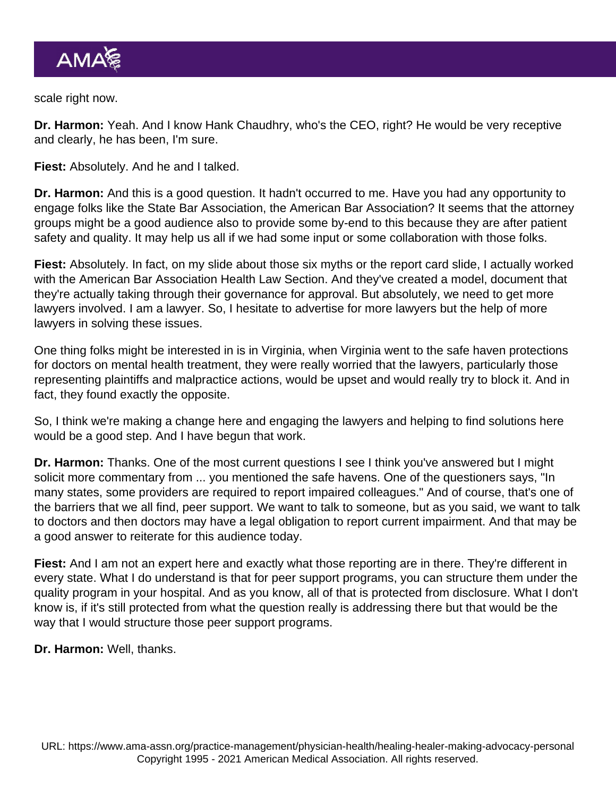scale right now.

Dr. Harmon: Yeah. And I know Hank Chaudhry, who's the CEO, right? He would be very receptive and clearly, he has been, I'm sure.

Fiest: Absolutely. And he and I talked.

Dr. Harmon: And this is a good question. It hadn't occurred to me. Have you had any opportunity to engage folks like the State Bar Association, the American Bar Association? It seems that the attorney groups might be a good audience also to provide some by-end to this because they are after patient safety and quality. It may help us all if we had some input or some collaboration with those folks.

Fiest: Absolutely. In fact, on my slide about those six myths or the report card slide, I actually worked with the American Bar Association Health Law Section. And they've created a model, document that they're actually taking through their governance for approval. But absolutely, we need to get more lawyers involved. I am a lawyer. So, I hesitate to advertise for more lawyers but the help of more lawyers in solving these issues.

One thing folks might be interested in is in Virginia, when Virginia went to the safe haven protections for doctors on mental health treatment, they were really worried that the lawyers, particularly those representing plaintiffs and malpractice actions, would be upset and would really try to block it. And in fact, they found exactly the opposite.

So, I think we're making a change here and engaging the lawyers and helping to find solutions here would be a good step. And I have begun that work.

Dr. Harmon: Thanks. One of the most current questions I see I think you've answered but I might solicit more commentary from ... you mentioned the safe havens. One of the questioners says, "In many states, some providers are required to report impaired colleagues." And of course, that's one of the barriers that we all find, peer support. We want to talk to someone, but as you said, we want to talk to doctors and then doctors may have a legal obligation to report current impairment. And that may be a good answer to reiterate for this audience today.

Fiest: And I am not an expert here and exactly what those reporting are in there. They're different in every state. What I do understand is that for peer support programs, you can structure them under the quality program in your hospital. And as you know, all of that is protected from disclosure. What I don't know is, if it's still protected from what the question really is addressing there but that would be the way that I would structure those peer support programs.

Dr. Harmon: Well, thanks.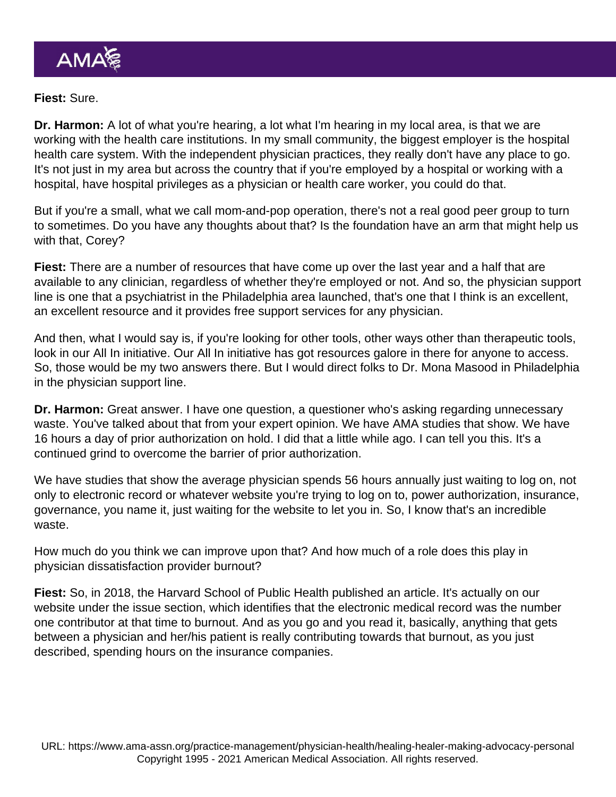Fiest: Sure.

Dr. Harmon: A lot of what you're hearing, a lot what I'm hearing in my local area, is that we are working with the health care institutions. In my small community, the biggest employer is the hospital health care system. With the independent physician practices, they really don't have any place to go. It's not just in my area but across the country that if you're employed by a hospital or working with a hospital, have hospital privileges as a physician or health care worker, you could do that.

But if you're a small, what we call mom-and-pop operation, there's not a real good peer group to turn to sometimes. Do you have any thoughts about that? Is the foundation have an arm that might help us with that, Corey?

Fiest: There are a number of resources that have come up over the last year and a half that are available to any clinician, regardless of whether they're employed or not. And so, the physician support line is one that a psychiatrist in the Philadelphia area launched, that's one that I think is an excellent, an excellent resource and it provides free support services for any physician.

And then, what I would say is, if you're looking for other tools, other ways other than therapeutic tools, look in our All In initiative. Our All In initiative has got resources galore in there for anyone to access. So, those would be my two answers there. But I would direct folks to Dr. Mona Masood in Philadelphia in the physician support line.

Dr. Harmon: Great answer. I have one question, a questioner who's asking regarding unnecessary waste. You've talked about that from your expert opinion. We have AMA studies that show. We have 16 hours a day of prior authorization on hold. I did that a little while ago. I can tell you this. It's a continued grind to overcome the barrier of prior authorization.

We have studies that show the average physician spends 56 hours annually just waiting to log on, not only to electronic record or whatever website you're trying to log on to, power authorization, insurance, governance, you name it, just waiting for the website to let you in. So, I know that's an incredible waste.

How much do you think we can improve upon that? And how much of a role does this play in physician dissatisfaction provider burnout?

Fiest: So, in 2018, the Harvard School of Public Health published an article. It's actually on our website under the issue section, which identifies that the electronic medical record was the number one contributor at that time to burnout. And as you go and you read it, basically, anything that gets between a physician and her/his patient is really contributing towards that burnout, as you just described, spending hours on the insurance companies.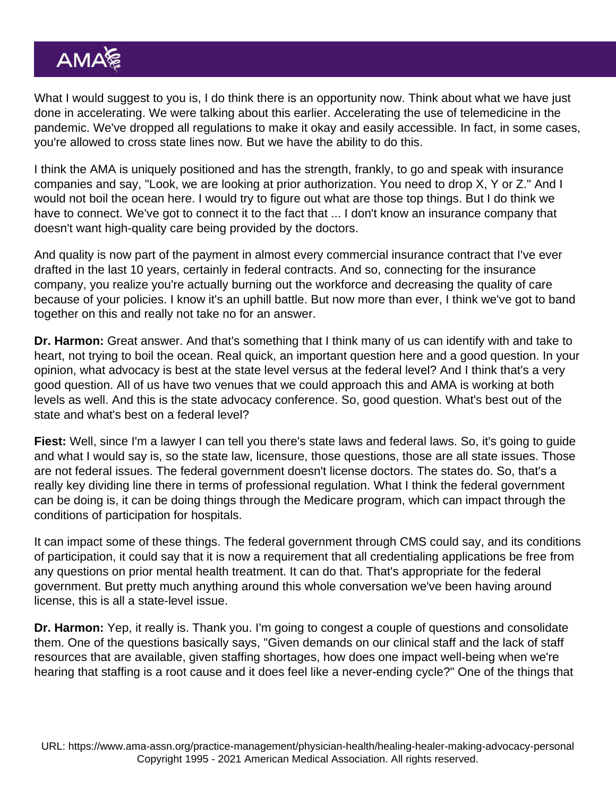What I would suggest to you is, I do think there is an opportunity now. Think about what we have just done in accelerating. We were talking about this earlier. Accelerating the use of telemedicine in the pandemic. We've dropped all regulations to make it okay and easily accessible. In fact, in some cases, you're allowed to cross state lines now. But we have the ability to do this.

I think the AMA is uniquely positioned and has the strength, frankly, to go and speak with insurance companies and say, "Look, we are looking at prior authorization. You need to drop X, Y or Z." And I would not boil the ocean here. I would try to figure out what are those top things. But I do think we have to connect. We've got to connect it to the fact that ... I don't know an insurance company that doesn't want high-quality care being provided by the doctors.

And quality is now part of the payment in almost every commercial insurance contract that I've ever drafted in the last 10 years, certainly in federal contracts. And so, connecting for the insurance company, you realize you're actually burning out the workforce and decreasing the quality of care because of your policies. I know it's an uphill battle. But now more than ever, I think we've got to band together on this and really not take no for an answer.

Dr. Harmon: Great answer. And that's something that I think many of us can identify with and take to heart, not trying to boil the ocean. Real quick, an important question here and a good question. In your opinion, what advocacy is best at the state level versus at the federal level? And I think that's a very good question. All of us have two venues that we could approach this and AMA is working at both levels as well. And this is the state advocacy conference. So, good question. What's best out of the state and what's best on a federal level?

Fiest: Well, since I'm a lawyer I can tell you there's state laws and federal laws. So, it's going to guide and what I would say is, so the state law, licensure, those questions, those are all state issues. Those are not federal issues. The federal government doesn't license doctors. The states do. So, that's a really key dividing line there in terms of professional regulation. What I think the federal government can be doing is, it can be doing things through the Medicare program, which can impact through the conditions of participation for hospitals.

It can impact some of these things. The federal government through CMS could say, and its conditions of participation, it could say that it is now a requirement that all credentialing applications be free from any questions on prior mental health treatment. It can do that. That's appropriate for the federal government. But pretty much anything around this whole conversation we've been having around license, this is all a state-level issue.

Dr. Harmon: Yep, it really is. Thank you. I'm going to congest a couple of questions and consolidate them. One of the questions basically says, "Given demands on our clinical staff and the lack of staff resources that are available, given staffing shortages, how does one impact well-being when we're hearing that staffing is a root cause and it does feel like a never-ending cycle?" One of the things that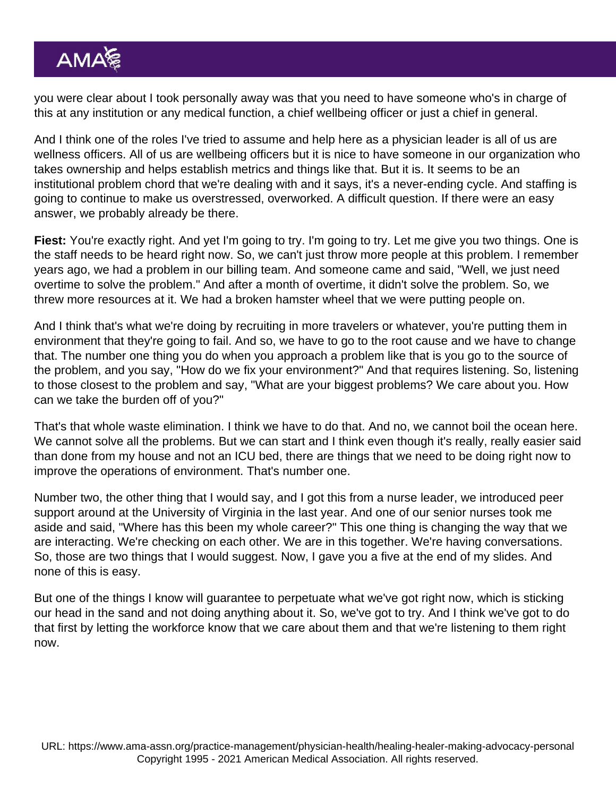you were clear about I took personally away was that you need to have someone who's in charge of this at any institution or any medical function, a chief wellbeing officer or just a chief in general.

And I think one of the roles I've tried to assume and help here as a physician leader is all of us are wellness officers. All of us are wellbeing officers but it is nice to have someone in our organization who takes ownership and helps establish metrics and things like that. But it is. It seems to be an institutional problem chord that we're dealing with and it says, it's a never-ending cycle. And staffing is going to continue to make us overstressed, overworked. A difficult question. If there were an easy answer, we probably already be there.

Fiest: You're exactly right. And yet I'm going to try. I'm going to try. Let me give you two things. One is the staff needs to be heard right now. So, we can't just throw more people at this problem. I remember years ago, we had a problem in our billing team. And someone came and said, "Well, we just need overtime to solve the problem." And after a month of overtime, it didn't solve the problem. So, we threw more resources at it. We had a broken hamster wheel that we were putting people on.

And I think that's what we're doing by recruiting in more travelers or whatever, you're putting them in environment that they're going to fail. And so, we have to go to the root cause and we have to change that. The number one thing you do when you approach a problem like that is you go to the source of the problem, and you say, "How do we fix your environment?" And that requires listening. So, listening to those closest to the problem and say, "What are your biggest problems? We care about you. How can we take the burden off of you?"

That's that whole waste elimination. I think we have to do that. And no, we cannot boil the ocean here. We cannot solve all the problems. But we can start and I think even though it's really, really easier said than done from my house and not an ICU bed, there are things that we need to be doing right now to improve the operations of environment. That's number one.

Number two, the other thing that I would say, and I got this from a nurse leader, we introduced peer support around at the University of Virginia in the last year. And one of our senior nurses took me aside and said, "Where has this been my whole career?" This one thing is changing the way that we are interacting. We're checking on each other. We are in this together. We're having conversations. So, those are two things that I would suggest. Now, I gave you a five at the end of my slides. And none of this is easy.

But one of the things I know will guarantee to perpetuate what we've got right now, which is sticking our head in the sand and not doing anything about it. So, we've got to try. And I think we've got to do that first by letting the workforce know that we care about them and that we're listening to them right now.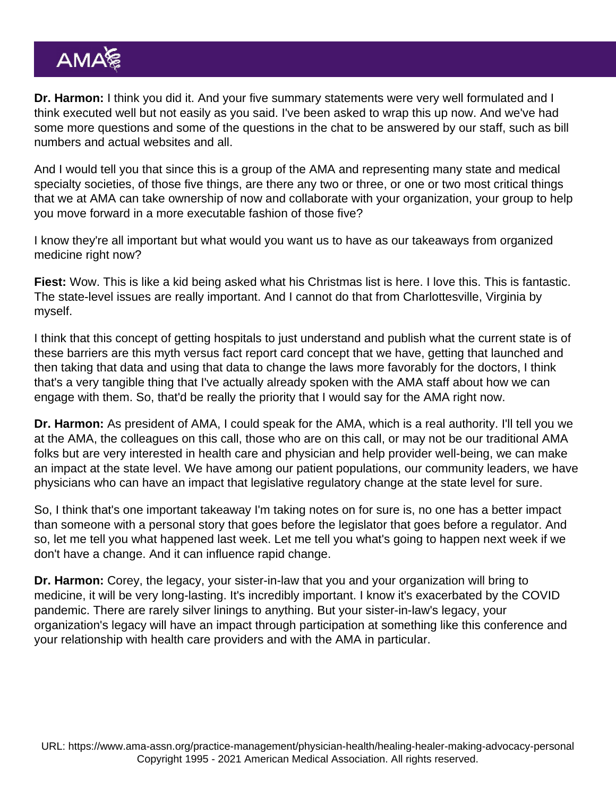Dr. Harmon: I think you did it. And your five summary statements were very well formulated and I think executed well but not easily as you said. I've been asked to wrap this up now. And we've had some more questions and some of the questions in the chat to be answered by our staff, such as bill numbers and actual websites and all.

And I would tell you that since this is a group of the AMA and representing many state and medical specialty societies, of those five things, are there any two or three, or one or two most critical things that we at AMA can take ownership of now and collaborate with your organization, your group to help you move forward in a more executable fashion of those five?

I know they're all important but what would you want us to have as our takeaways from organized medicine right now?

Fiest: Wow. This is like a kid being asked what his Christmas list is here. I love this. This is fantastic. The state-level issues are really important. And I cannot do that from Charlottesville, Virginia by myself.

I think that this concept of getting hospitals to just understand and publish what the current state is of these barriers are this myth versus fact report card concept that we have, getting that launched and then taking that data and using that data to change the laws more favorably for the doctors, I think that's a very tangible thing that I've actually already spoken with the AMA staff about how we can engage with them. So, that'd be really the priority that I would say for the AMA right now.

Dr. Harmon: As president of AMA, I could speak for the AMA, which is a real authority. I'll tell you we at the AMA, the colleagues on this call, those who are on this call, or may not be our traditional AMA folks but are very interested in health care and physician and help provider well-being, we can make an impact at the state level. We have among our patient populations, our community leaders, we have physicians who can have an impact that legislative regulatory change at the state level for sure.

So, I think that's one important takeaway I'm taking notes on for sure is, no one has a better impact than someone with a personal story that goes before the legislator that goes before a regulator. And so, let me tell you what happened last week. Let me tell you what's going to happen next week if we don't have a change. And it can influence rapid change.

Dr. Harmon: Corey, the legacy, your sister-in-law that you and your organization will bring to medicine, it will be very long-lasting. It's incredibly important. I know it's exacerbated by the COVID pandemic. There are rarely silver linings to anything. But your sister-in-law's legacy, your organization's legacy will have an impact through participation at something like this conference and your relationship with health care providers and with the AMA in particular.